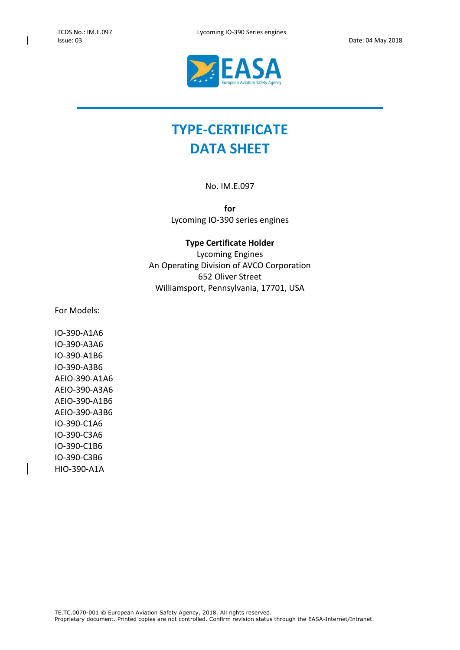

# **TYPE-CERTIFICATE DATA SHEET**

No. IM.E.097

**for** Lycoming IO-390 series engines

# **Type Certificate Holder**

Lycoming Engines An Operating Division of AVCO Corporation 652 Oliver Street Williamsport, Pennsylvania, 17701, USA

For Models:

IO-390-A1A6 IO-390-A3A6 IO-390-A1B6 IO-390-A3B6 AEIO-390-A1A6 AEIO-390-A3A6 AEIO-390-A1B6 AEIO-390-A3B6 IO-390-C1A6 IO-390-C3A6 IO-390-C1B6 IO-390-C3B6 HIO-390-A1A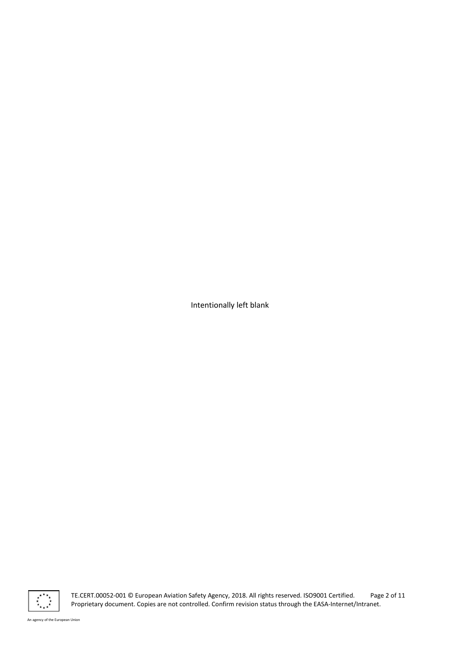Intentionally left blank



TE.CERT.00052-001 © European Aviation Safety Agency, 2018. All rights reserved. ISO9001 Certified. Page 2 of 11 Proprietary document. Copies are not controlled. Confirm revision status through the EASA-Internet/Intranet.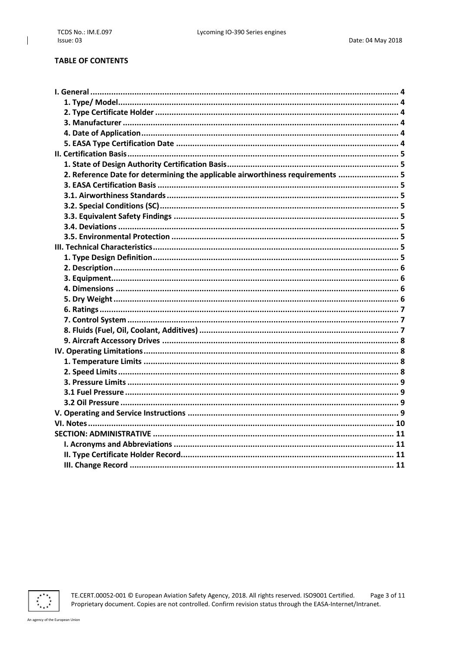# **TABLE OF CONTENTS**

| 2. Reference Date for determining the applicable airworthiness requirements  5 |  |
|--------------------------------------------------------------------------------|--|
|                                                                                |  |
|                                                                                |  |
|                                                                                |  |
|                                                                                |  |
|                                                                                |  |
|                                                                                |  |
|                                                                                |  |
|                                                                                |  |
|                                                                                |  |
|                                                                                |  |
|                                                                                |  |
|                                                                                |  |
|                                                                                |  |
|                                                                                |  |
|                                                                                |  |
|                                                                                |  |
|                                                                                |  |
|                                                                                |  |
|                                                                                |  |
|                                                                                |  |
|                                                                                |  |
|                                                                                |  |
|                                                                                |  |
|                                                                                |  |
|                                                                                |  |
|                                                                                |  |
|                                                                                |  |
|                                                                                |  |
|                                                                                |  |



TE.CERT.00052-001 © European Aviation Safety Agency, 2018. All rights reserved. ISO9001 Certified. Page 3 of 11 Proprietary document. Copies are not controlled. Confirm revision status through the EASA-Internet/Intranet.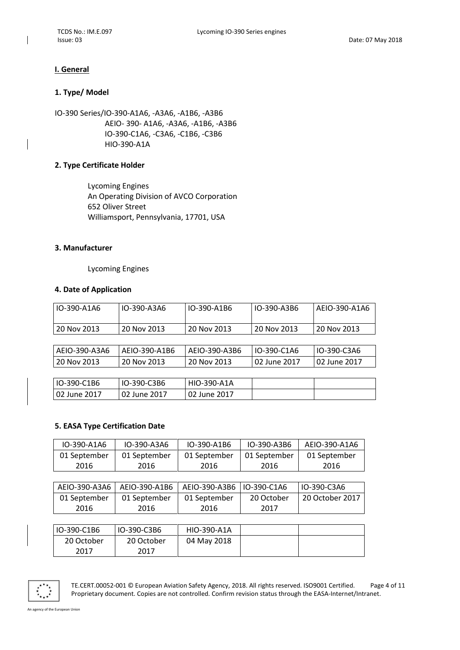# <span id="page-3-0"></span>**I. General**

#### <span id="page-3-1"></span>**1. Type/ Model**

IO-390 Series/IO-390-A1A6, -A3A6, -A1B6, -A3B6 AEIO- 390- A1A6, -A3A6, -A1B6, -A3B6 IO-390-C1A6, -C3A6, -C1B6, -C3B6 HIO-390-A1A

# <span id="page-3-2"></span>**2. Type Certificate Holder**

Lycoming Engines An Operating Division of AVCO Corporation 652 Oliver Street Williamsport, Pennsylvania, 17701, USA

# <span id="page-3-3"></span>**3. Manufacturer**

Lycoming Engines

#### <span id="page-3-4"></span>**4. Date of Application**

| IO-390-A1A6   | IO-390-A3A6   | IO-390-A1B6   | IO-390-A3B6  | AEIO-390-A1A6 |
|---------------|---------------|---------------|--------------|---------------|
|               |               |               |              |               |
| 20 Nov 2013   | 20 Nov 2013   | 20 Nov 2013   | 20 Nov 2013  | 20 Nov 2013   |
|               |               |               |              |               |
| AEIO-390-A3A6 | AEIO-390-A1B6 | AEIO-390-A3B6 | IO-390-C1A6  | IO-390-C3A6   |
| 20 Nov 2013   | 20 Nov 2013   | 20 Nov 2013   | 02 June 2017 | 02 June 2017  |
|               |               |               |              |               |
| IO-390-C1B6   | IO-390-C3B6   | HIO-390-A1A   |              |               |

# <span id="page-3-5"></span>**5. EASA Type Certification Date**

02 June 2017 02 June 2017 02 June 2017

| IO-390-A1A6  | IO-390-A3A6  | IO-390-A1B6  | IO-390-A3B6    | AEIO-390-A1A6 |
|--------------|--------------|--------------|----------------|---------------|
| 01 September | 01 September | 01 September | l 01 September | 01 September  |
| 2016         | 2016         | 2016         | 2016           | 2016          |

|              | AEIO-390-A3A6   AEIO-390-A1B6   AEIO-390-A3B6   IO-390-C1A6 |              |            | LIO-390-C3A6    |
|--------------|-------------------------------------------------------------|--------------|------------|-----------------|
| 01 September | 01 September                                                | 01 September | 20 October | 20 October 2017 |
| 2016         | 2016                                                        | 2016         | 2017       |                 |

| <b>IO-390-C1B6</b> | l IO-390-C3B6 | HIO-390-A1A |  |
|--------------------|---------------|-------------|--|
| 20 October         | 20 October    | 04 May 2018 |  |
| 2017               | 2017          |             |  |



TE.CERT.00052-001 © European Aviation Safety Agency, 2018. All rights reserved. ISO9001 Certified. Page 4 of 11 Proprietary document. Copies are not controlled. Confirm revision status through the EASA-Internet/Intranet.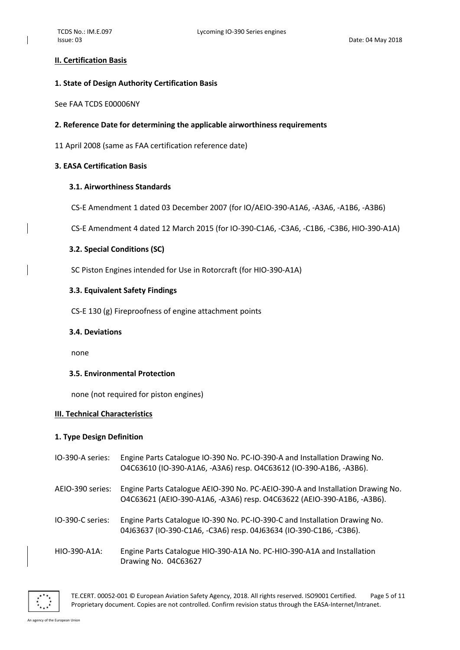#### <span id="page-4-0"></span>**II. Certification Basis**

#### <span id="page-4-1"></span>**1. State of Design Authority Certification Basis**

See FAA TCDS E00006NY

#### <span id="page-4-2"></span>**2. Reference Date for determining the applicable airworthiness requirements**

11 April 2008 (same as FAA certification reference date)

#### <span id="page-4-3"></span>**3. EASA Certification Basis**

#### <span id="page-4-4"></span>**3.1. Airworthiness Standards**

- CS-E Amendment 1 dated 03 December 2007 (for IO/AEIO-390-A1A6, -A3A6, -A1B6, -A3B6)
- CS-E Amendment 4 dated 12 March 2015 (for IO-390-C1A6, -C3A6, -C1B6, -C3B6, HIO-390-A1A)

#### <span id="page-4-5"></span>**3.2. Special Conditions (SC)**

SC Piston Engines intended for Use in Rotorcraft (for HIO-390-A1A)

#### <span id="page-4-6"></span>**3.3. Equivalent Safety Findings**

CS-E 130 (g) Fireproofness of engine attachment points

#### <span id="page-4-7"></span>**3.4. Deviations**

none

#### <span id="page-4-8"></span>**3.5. Environmental Protection**

none (not required for piston engines)

#### <span id="page-4-9"></span>**III. Technical Characteristics**

#### <span id="page-4-10"></span>**1. Type Design Definition**

IO-390-A series: Engine Parts Catalogue IO-390 No. PC-IO-390-A and Installation Drawing No. O4C63610 (IO-390-A1A6, -A3A6) resp. O4C63612 (IO-390-A1B6, -A3B6). AEIO-390 series: Engine Parts Catalogue AEIO-390 No. PC-AEIO-390-A and Installation Drawing No. O4C63621 (AEIO-390-A1A6, -A3A6) resp. O4C63622 (AEIO-390-A1B6, -A3B6). IO-390-C series: Engine Parts Catalogue IO-390 No. PC-IO-390-C and Installation Drawing No. 04J63637 (IO-390-C1A6, -C3A6) resp. 04J63634 (IO-390-C1B6, -C3B6). HIO-390-A1A: Engine Parts Catalogue HIO-390-A1A No. PC-HIO-390-A1A and Installation Drawing No. 04C63627



TE.CERT. 00052-001 © European Aviation Safety Agency, 2018. All rights reserved. ISO9001 Certified. Page 5 of 11 Proprietary document. Copies are not controlled. Confirm revision status through the EASA-Internet/Intranet.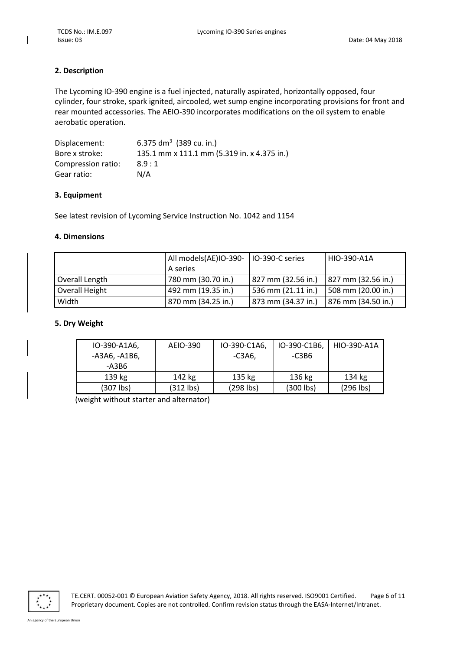# <span id="page-5-0"></span>**2. Description**

The Lycoming IO-390 engine is a fuel injected, naturally aspirated, horizontally opposed, four cylinder, four stroke, spark ignited, aircooled, wet sump engine incorporating provisions for front and rear mounted accessories. The AEIO-390 incorporates modifications on the oil system to enable aerobatic operation.

| Displacement:      | 6.375 dm <sup>3</sup> (389 cu. in.)         |
|--------------------|---------------------------------------------|
| Bore x stroke:     | 135.1 mm x 111.1 mm (5.319 in. x 4.375 in.) |
| Compression ratio: | 8.9:1                                       |
| Gear ratio:        | N/A                                         |

# <span id="page-5-1"></span>**3. Equipment**

See latest revision of Lycoming Service Instruction No. 1042 and 1154

## <span id="page-5-2"></span>**4. Dimensions**

|                | All models(AE)IO-390-   IO-390-C series |                    | HIO-390-A1A        |
|----------------|-----------------------------------------|--------------------|--------------------|
|                | A series                                |                    |                    |
| Overall Length | 780 mm (30.70 in.)                      | 827 mm (32.56 in.) | 827 mm (32.56 in.) |
| Overall Height | 492 mm (19.35 in.)                      | 536 mm (21.11 in.) | 508 mm (20.00 in.) |
| Width          | 870 mm (34.25 in.)                      | 873 mm (34.37 in.) | 876 mm (34.50 in.) |

## <span id="page-5-3"></span>**5. Dry Weight**

| IO-390-A1A6,  | AEIO-390    | IO-390-C1A6, | IO-390-C1B6. | HIO-390-A1A |
|---------------|-------------|--------------|--------------|-------------|
| -A3A6, -A1B6, |             | -C3A6.       | $-C3B6$      |             |
| -A3B6         |             |              |              |             |
| 139 kg        | 142 kg      | $135$ kg     | 136 kg       | 134 kg      |
| (307 lbs)     | $(312$ lbs) | (298 lbs)    | $(300$ lbs)  | (296 lbs)   |

(weight without starter and alternator)



TE.CERT. 00052-001 © European Aviation Safety Agency, 2018. All rights reserved. ISO9001 Certified. Page 6 of 11 Proprietary document. Copies are not controlled. Confirm revision status through the EASA-Internet/Intranet.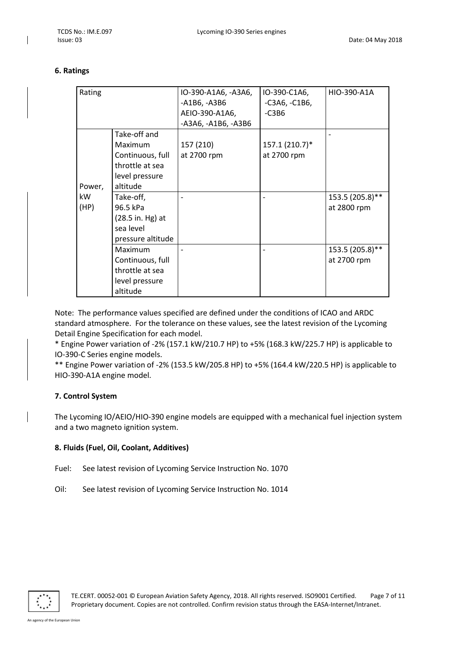# <span id="page-6-0"></span>**6. Ratings**

| Rating        |                                                                                                           | IO-390-A1A6, -A3A6,<br>-A1B6, -A3B6<br>AEIO-390-A1A6,<br>-A3A6, -A1B6, -A3B6 | IO-390-C1A6,<br>$-C3A6, -C1B6,$<br>$-C3B6$ | HIO-390-A1A                    |
|---------------|-----------------------------------------------------------------------------------------------------------|------------------------------------------------------------------------------|--------------------------------------------|--------------------------------|
| Power,<br>kW. | Take-off and<br>Maximum<br>Continuous, full<br>throttle at sea<br>level pressure<br>altitude<br>Take-off, | 157 (210)<br>at 2700 rpm                                                     | 157.1 (210.7)*<br>at 2700 rpm              | 153.5 (205.8)**                |
| (HP)          | 96.5 kPa<br>$(28.5$ in. Hg) at<br>sea level<br>pressure altitude                                          |                                                                              |                                            | at 2800 rpm                    |
|               | Maximum<br>Continuous, full<br>throttle at sea<br>level pressure<br>altitude                              | $\overline{\phantom{a}}$                                                     |                                            | 153.5 (205.8)**<br>at 2700 rpm |

Note: The performance values specified are defined under the conditions of ICAO and ARDC standard atmosphere. For the tolerance on these values, see the latest revision of the Lycoming Detail Engine Specification for each model.

\* Engine Power variation of -2% (157.1 kW/210.7 HP) to +5% (168.3 kW/225.7 HP) is applicable to IO-390-C Series engine models.

\*\* Engine Power variation of -2% (153.5 kW/205.8 HP) to +5% (164.4 kW/220.5 HP) is applicable to HIO-390-A1A engine model.

# <span id="page-6-1"></span>**7. Control System**

The Lycoming IO/AEIO/HIO-390 engine models are equipped with a mechanical fuel injection system and a two magneto ignition system.

# <span id="page-6-2"></span>**8. Fluids (Fuel, Oil, Coolant, Additives)**

- Fuel: See latest revision of Lycoming Service Instruction No. 1070
- Oil: See latest revision of Lycoming Service Instruction No. 1014

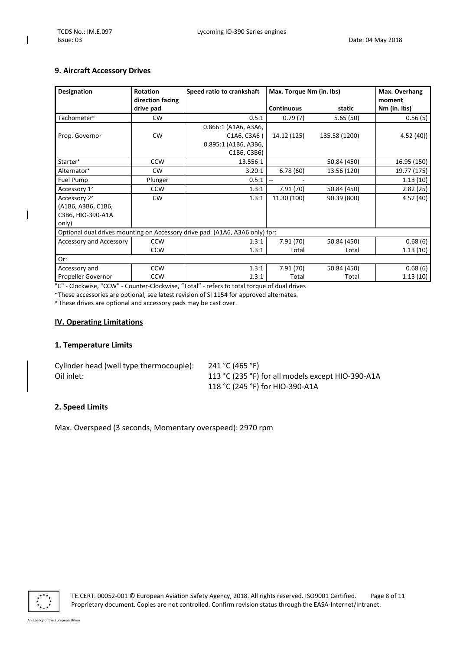$\overline{\phantom{a}}$ 

# <span id="page-7-0"></span>**9. Aircraft Accessory Drives**

| <b>Designation</b>       | <b>Rotation</b>  | Speed ratio to crankshaft                                                   | Max. Torque Nm (in. lbs) |               | Max. Overhang |
|--------------------------|------------------|-----------------------------------------------------------------------------|--------------------------|---------------|---------------|
|                          | direction facing |                                                                             |                          |               | moment        |
|                          | drive pad        |                                                                             | <b>Continuous</b>        | static        | Nm (in. lbs)  |
| Tachometer <sup>×</sup>  | <b>CW</b>        | 0.5:1                                                                       | 0.79(7)                  | 5.65(50)      | 0.56(5)       |
|                          |                  | 0.866:1 (A1A6, A3A6,                                                        |                          |               |               |
| Prop. Governor           | <b>CW</b>        | C1A6, C3A6)                                                                 | 14.12 (125)              | 135.58 (1200) | 4.52(40)      |
|                          |                  | 0.895:1 (A1B6, A3B6,                                                        |                          |               |               |
|                          |                  | C1B6, C3B6)                                                                 |                          |               |               |
| Starter <sup>•</sup>     | <b>CCW</b>       | 13.556:1                                                                    |                          | 50.84 (450)   | 16.95 (150)   |
| Alternator*              | <b>CW</b>        | 3.20:1                                                                      | 6.78(60)                 | 13.56 (120)   | 19.77 (175)   |
| Fuel Pump                | Plunger          | 0.5:1                                                                       | $\sim$ $\sim$            |               | 1.13(10)      |
| Accessory 1 <sup>x</sup> | <b>CCW</b>       | 1.3:1                                                                       | 7.91 (70)                | 50.84 (450)   | 2.82(25)      |
| Accessory 2 <sup>x</sup> | <b>CW</b>        | 1.3:1                                                                       | 11.30 (100)              | 90.39 (800)   | 4.52 (40)     |
| (A1B6, A3B6, C1B6,       |                  |                                                                             |                          |               |               |
| C3B6, HIO-390-A1A        |                  |                                                                             |                          |               |               |
| only)                    |                  |                                                                             |                          |               |               |
|                          |                  | Optional dual drives mounting on Accessory drive pad (A1A6, A3A6 only) for: |                          |               |               |
| Accessory and Accessory  | <b>CCW</b>       | 1.3:1                                                                       | 7.91 (70)                | 50.84 (450)   | 0.68(6)       |
|                          | <b>CCW</b>       | 1.3:1                                                                       | Total                    | Total         | 1.13(10)      |
| Or:                      |                  |                                                                             |                          |               |               |
| Accessory and            | <b>CCW</b>       | 1.3:1                                                                       | 7.91 (70)                | 50.84 (450)   | 0.68(6)       |
| Propeller Governor       | <b>CCW</b>       | 1.3:1                                                                       | Total                    | Total         | 1.13(10)      |

"C" - Clockwise, "CCW" - Counter-Clockwise, "Total" - refers to total torque of dual drives

• These accessories are optional, see latest revision of SI 1154 for approved alternates.

<span id="page-7-1"></span><sup>×</sup> These drives are optional and accessory pads may be cast over.

## **IV. Operating Limitations**

# <span id="page-7-2"></span>**1. Temperature Limits**

| Cylinder head (well type thermocouple): | 241 °C (465 °F)                                   |
|-----------------------------------------|---------------------------------------------------|
| Oil inlet:                              | 113 °C (235 °F) for all models except HIO-390-A1A |
|                                         | 118 °C (245 °F) for HIO-390-A1A                   |

#### <span id="page-7-3"></span>**2. Speed Limits**

Max. Overspeed (3 seconds, Momentary overspeed): 2970 rpm

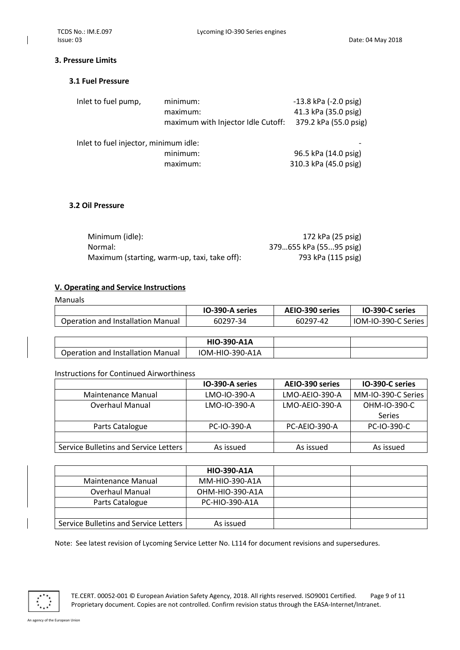# <span id="page-8-0"></span>**3. Pressure Limits**

<span id="page-8-1"></span>**3.1 Fuel Pressure**

| Inlet to fuel pump,                   | minimum:                           | -13.8 kPa (-2.0 psig) |
|---------------------------------------|------------------------------------|-----------------------|
|                                       | maximum:                           | 41.3 kPa (35.0 psig)  |
|                                       | maximum with Injector Idle Cutoff: | 379.2 kPa (55.0 psig) |
| Inlet to fuel injector, minimum idle: |                                    |                       |
|                                       | minimum:                           | 96.5 kPa (14.0 psig)  |
|                                       | maximum:                           | 310.3 kPa (45.0 psig) |

#### <span id="page-8-2"></span>**3.2 Oil Pressure**

| Minimum (idle):                              | 172 kPa (25 psig)      |
|----------------------------------------------|------------------------|
| Normal:                                      | 379655 kPa (5595 psig) |
| Maximum (starting, warm-up, taxi, take off): | 793 kPa (115 psig)     |

# <span id="page-8-3"></span>**V. Operating and Service Instructions**

Manuals

|                                   | <b>IO-390-A series</b> | AEIO-390 series | <b>IO-390-C series</b>       |
|-----------------------------------|------------------------|-----------------|------------------------------|
| Operation and Installation Manual | 60297-34               | 60297-42        | <b>IOM-IO-390-C Series</b> I |

|                                   | <b>HIO-390-A1A</b> |  |
|-----------------------------------|--------------------|--|
| Operation and Installation Manual | IOM-HIO-390-A1A    |  |

Instructions for Continued Airworthiness

|                                       | <b>IO-390-A series</b> | <b>AEIO-390 series</b> | <b>IO-390-C series</b> |
|---------------------------------------|------------------------|------------------------|------------------------|
| Maintenance Manual                    | LMO-IO-390-A           | LMO-AEIO-390-A         | MM-IO-390-C Series     |
| <b>Overhaul Manual</b>                | LMO-IO-390-A           | LMO-AEIO-390-A         | OHM-IO-390-C           |
|                                       |                        |                        | <b>Series</b>          |
| Parts Catalogue                       | PC-IO-390-A            | PC-AEIO-390-A          | PC-IO-390-C            |
|                                       |                        |                        |                        |
| Service Bulletins and Service Letters | As issued              | As issued              | As issued              |

|                                       | <b>HIO-390-A1A</b> |  |
|---------------------------------------|--------------------|--|
| Maintenance Manual                    | MM-HIO-390-A1A     |  |
| <b>Overhaul Manual</b>                | OHM-HIO-390-A1A    |  |
| Parts Catalogue                       | PC-HIO-390-A1A     |  |
|                                       |                    |  |
| Service Bulletins and Service Letters | As issued          |  |

Note: See latest revision of Lycoming Service Letter No. L114 for document revisions and supersedures.

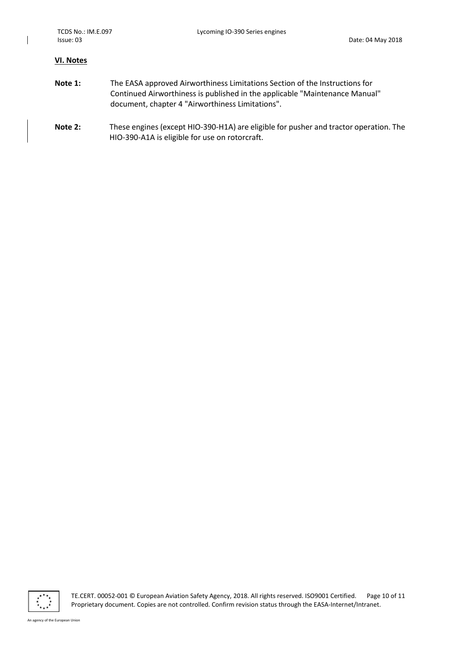# <span id="page-9-0"></span>**VI. Notes**

- **Note 1:** The EASA approved Airworthiness Limitations Section of the Instructions for Continued Airworthiness is published in the applicable "Maintenance Manual" document, chapter 4 "Airworthiness Limitations".
- **Note 2:** These engines (except HIO-390-H1A) are eligible for pusher and tractor operation. The HIO-390-A1A is eligible for use on rotorcraft.



TE.CERT. 00052-001 © European Aviation Safety Agency, 2018. All rights reserved. ISO9001 Certified. Page 10 of 11 Proprietary document. Copies are not controlled. Confirm revision status through the EASA-Internet/Intranet.